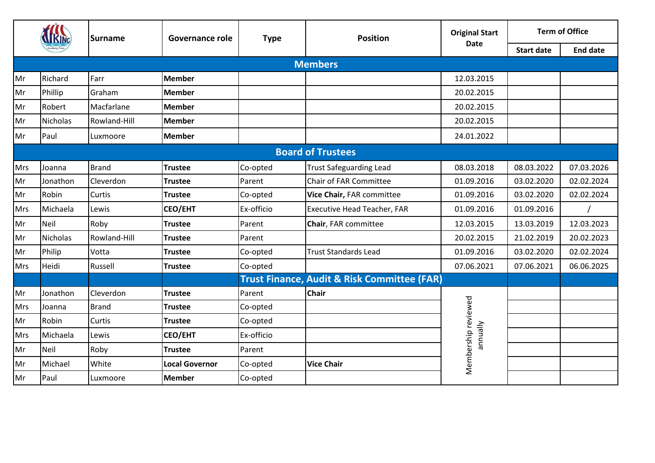|     |                 | <b>Surname</b> | <b>Governance role</b> | <b>Type</b> | <b>Position</b>                                        | <b>Original Start</b>           | <b>Term of Office</b> |                 |
|-----|-----------------|----------------|------------------------|-------------|--------------------------------------------------------|---------------------------------|-----------------------|-----------------|
|     |                 |                |                        |             |                                                        | <b>Date</b>                     | <b>Start date</b>     | <b>End date</b> |
|     |                 |                |                        |             | <b>Members</b>                                         |                                 |                       |                 |
| Mr  | Richard         | <b>IFarr</b>   | <b>Member</b>          |             |                                                        | 12.03.2015                      |                       |                 |
| Mr  | Phillip         | Graham         | <b>Member</b>          |             |                                                        | 20.02.2015                      |                       |                 |
| Mr  | Robert          | Macfarlane     | <b>Member</b>          |             |                                                        | 20.02.2015                      |                       |                 |
| Mr  | <b>Nicholas</b> | Rowland-Hill   | <b>Member</b>          |             |                                                        | 20.02.2015                      |                       |                 |
| Mr  | Paul            | Luxmoore       | <b>Member</b>          |             |                                                        | 24.01.2022                      |                       |                 |
|     |                 |                |                        |             | <b>Board of Trustees</b>                               |                                 |                       |                 |
| Mrs | Joanna          | <b>Brand</b>   | <b>Trustee</b>         | Co-opted    | <b>Trust Safeguarding Lead</b>                         | 08.03.2018                      | 08.03.2022            | 07.03.2026      |
| Mr  | Jonathon        | Cleverdon      | <b>Trustee</b>         | Parent      | Chair of FAR Committee                                 | 01.09.2016                      | 03.02.2020            | 02.02.2024      |
| Mr  | Robin           | Curtis         | <b>Trustee</b>         | Co-opted    | Vice Chair, FAR committee                              | 01.09.2016                      | 03.02.2020            | 02.02.2024      |
| Mrs | Michaela        | Lewis          | <b>CEO/EHT</b>         | Ex-officio  | <b>Executive Head Teacher, FAR</b>                     | 01.09.2016                      | 01.09.2016            |                 |
| Mr  | <b>Neil</b>     | Roby           | <b>Trustee</b>         | Parent      | Chair, FAR committee                                   | 12.03.2015                      | 13.03.2019            | 12.03.2023      |
| Mr  | <b>Nicholas</b> | Rowland-Hill   | <b>Trustee</b>         | Parent      |                                                        | 20.02.2015                      | 21.02.2019            | 20.02.2023      |
| Mr  | Philip          | Votta          | <b>Trustee</b>         | Co-opted    | <b>Trust Standards Lead</b>                            | 01.09.2016                      | 03.02.2020            | 02.02.2024      |
| Mrs | Heidi           | Russell        | <b>Trustee</b>         | Co-opted    |                                                        | 07.06.2021                      | 07.06.2021            | 06.06.2025      |
|     |                 |                |                        |             | <b>Trust Finance, Audit &amp; Risk Committee (FAR)</b> |                                 |                       |                 |
| Mr  | Jonathon        | Cleverdon      | <b>Trustee</b>         | Parent      | <b>Chair</b>                                           |                                 |                       |                 |
| Mrs | Joanna          | <b>Brand</b>   | <b>Trustee</b>         | Co-opted    |                                                        |                                 |                       |                 |
| Mr  | Robin           | Curtis         | <b>Trustee</b>         | Co-opted    |                                                        |                                 |                       |                 |
| Mrs | Michaela        | Lewis          | <b>CEO/EHT</b>         | Ex-officio  |                                                        | Membership reviewed<br>annually |                       |                 |
| Mr  | <b>Neil</b>     | Roby           | <b>Trustee</b>         | Parent      |                                                        |                                 |                       |                 |
| Mr  | Michael         | White          | <b>Local Governor</b>  | Co-opted    | <b>Vice Chair</b>                                      |                                 |                       |                 |
| Mr  | Paul            | Luxmoore       | <b>Member</b>          | Co-opted    |                                                        |                                 |                       |                 |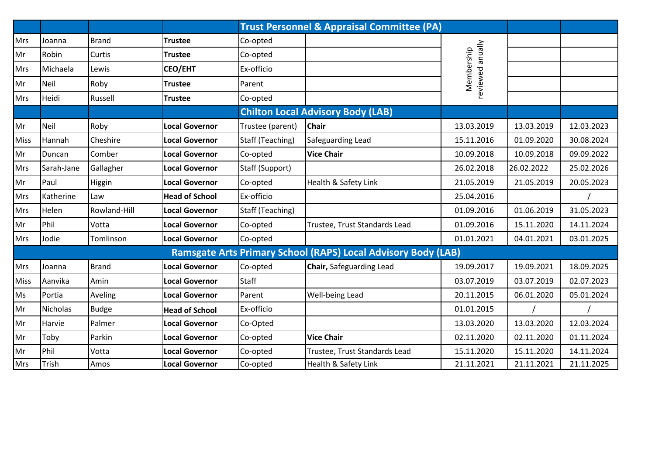|             |                 |              |                       |                  | <b>Trust Personnel &amp; Appraisal Committee (PA)</b>                |                                |            |            |
|-------------|-----------------|--------------|-----------------------|------------------|----------------------------------------------------------------------|--------------------------------|------------|------------|
| Mrs         | Joanna          | <b>Brand</b> | <b>Trustee</b>        | Co-opted         |                                                                      |                                |            |            |
| Mr          | Robin           | Curtis       | <b>Trustee</b>        | Co-opted         |                                                                      |                                |            |            |
| Mrs         | Michaela        | Lewis        | <b>CEO/EHT</b>        | Ex-officio       |                                                                      | reviewed anually<br>Membership |            |            |
| Mr          | Neil            | Roby         | <b>Trustee</b>        | Parent           |                                                                      |                                |            |            |
| Mrs         | Heidi           | Russell      | <b>Trustee</b>        | Co-opted         |                                                                      |                                |            |            |
|             |                 |              |                       |                  | <b>Chilton Local Advisory Body (LAB)</b>                             |                                |            |            |
| Mr          | Neil            | Roby         | <b>Local Governor</b> | Trustee (parent) | <b>Chair</b>                                                         | 13.03.2019                     | 13.03.2019 | 12.03.2023 |
| <b>Miss</b> | Hannah          | Cheshire     | <b>Local Governor</b> | Staff (Teaching) | Safeguarding Lead                                                    | 15.11.2016                     | 01.09.2020 | 30.08.2024 |
| Mr          | Duncan          | Comber       | <b>Local Governor</b> | Co-opted         | <b>Vice Chair</b>                                                    | 10.09.2018                     | 10.09.2018 | 09.09.2022 |
| <b>Mrs</b>  | Sarah-Jane      | Gallagher    | <b>Local Governor</b> | Staff (Support)  |                                                                      | 26.02.2018                     | 26.02.2022 | 25.02.2026 |
| Mr          | Paul            | Higgin       | <b>Local Governor</b> | Co-opted         | Health & Safety Link                                                 | 21.05.2019                     | 21.05.2019 | 20.05.2023 |
| <b>Mrs</b>  | Katherine       | Law          | <b>Head of School</b> | Ex-officio       |                                                                      | 25.04.2016                     |            |            |
| Mrs         | Helen           | Rowland-Hill | <b>Local Governor</b> | Staff (Teaching) |                                                                      | 01.09.2016                     | 01.06.2019 | 31.05.2023 |
| Mr          | Phil            | Votta        | <b>Local Governor</b> | Co-opted         | Trustee, Trust Standards Lead                                        | 01.09.2016                     | 15.11.2020 | 14.11.2024 |
| <b>Mrs</b>  | Jodie           | Tomlinson    | <b>Local Governor</b> | Co-opted         |                                                                      | 01.01.2021                     | 04.01.2021 | 03.01.2025 |
|             |                 |              |                       |                  | <b>Ramsgate Arts Primary School (RAPS) Local Advisory Body (LAB)</b> |                                |            |            |
| Mrs         | Joanna          | <b>Brand</b> | <b>Local Governor</b> | Co-opted         | Chair, Safeguarding Lead                                             | 19.09.2017                     | 19.09.2021 | 18.09.2025 |
| <b>Miss</b> | Aanvika         | Amin         | <b>Local Governor</b> | <b>Staff</b>     |                                                                      | 03.07.2019                     | 03.07.2019 | 02.07.2023 |
| Ms          | Portia          | Aveling      | <b>Local Governor</b> | Parent           | Well-being Lead                                                      | 20.11.2015                     | 06.01.2020 | 05.01.2024 |
| Mr          | <b>Nicholas</b> | <b>Budge</b> | <b>Head of School</b> | Ex-officio       |                                                                      | 01.01.2015                     |            |            |
| Mr          | Harvie          | Palmer       | <b>Local Governor</b> | Co-Opted         |                                                                      | 13.03.2020                     | 13.03.2020 | 12.03.2024 |
| Mr          | Toby            | Parkin       | <b>Local Governor</b> | Co-opted         | <b>Vice Chair</b>                                                    | 02.11.2020                     | 02.11.2020 | 01.11.2024 |
| Mr          | Phil            | Votta        | <b>Local Governor</b> | Co-opted         | Trustee, Trust Standards Lead                                        | 15.11.2020                     | 15.11.2020 | 14.11.2024 |
| Mrs         | Trish           | Amos         | <b>Local Governor</b> | Co-opted         | Health & Safety Link                                                 | 21.11.2021                     | 21.11.2021 | 21.11.2025 |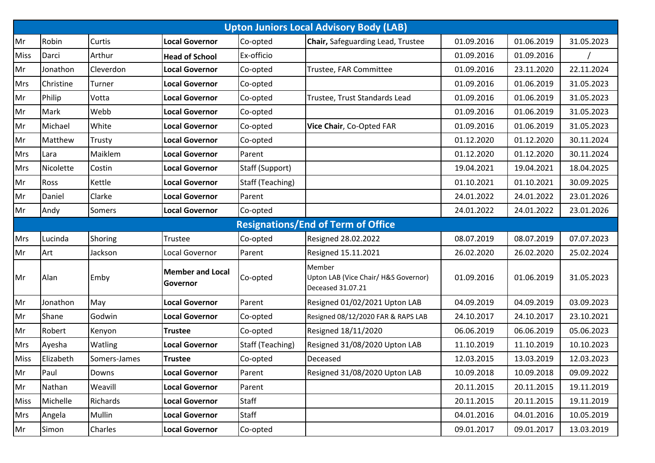|             |           |              |                                     |                  | <b>Upton Juniors Local Advisory Body (LAB)</b>                      |            |            |            |
|-------------|-----------|--------------|-------------------------------------|------------------|---------------------------------------------------------------------|------------|------------|------------|
| Mr          | Robin     | Curtis       | <b>Local Governor</b>               | Co-opted         | Chair, Safeguarding Lead, Trustee                                   | 01.09.2016 | 01.06.2019 | 31.05.2023 |
| <b>Miss</b> | Darci     | Arthur       | <b>Head of School</b>               | Ex-officio       |                                                                     | 01.09.2016 | 01.09.2016 |            |
| Mr          | Jonathon  | Cleverdon    | <b>Local Governor</b>               | Co-opted         | Trustee, FAR Committee                                              | 01.09.2016 | 23.11.2020 | 22.11.2024 |
| <b>Mrs</b>  | Christine | Turner       | <b>Local Governor</b>               | Co-opted         |                                                                     | 01.09.2016 | 01.06.2019 | 31.05.2023 |
| Mr          | Philip    | Votta        | <b>Local Governor</b>               | Co-opted         | Trustee, Trust Standards Lead                                       | 01.09.2016 | 01.06.2019 | 31.05.2023 |
| Mr          | Mark      | Webb         | <b>Local Governor</b>               | Co-opted         |                                                                     | 01.09.2016 | 01.06.2019 | 31.05.2023 |
| Mr          | Michael   | White        | <b>Local Governor</b>               | Co-opted         | Vice Chair, Co-Opted FAR                                            | 01.09.2016 | 01.06.2019 | 31.05.2023 |
| Mr          | Matthew   | Trusty       | <b>Local Governor</b>               | Co-opted         |                                                                     | 01.12.2020 | 01.12.2020 | 30.11.2024 |
| Mrs         | Lara      | Maiklem      | <b>Local Governor</b>               | Parent           |                                                                     | 01.12.2020 | 01.12.2020 | 30.11.2024 |
| <b>Mrs</b>  | Nicolette | Costin       | <b>Local Governor</b>               | Staff (Support)  |                                                                     | 19.04.2021 | 19.04.2021 | 18.04.2025 |
| Mr          | Ross      | Kettle       | <b>Local Governor</b>               | Staff (Teaching) |                                                                     | 01.10.2021 | 01.10.2021 | 30.09.2025 |
| Mr          | Daniel    | Clarke       | <b>Local Governor</b>               | Parent           |                                                                     | 24.01.2022 | 24.01.2022 | 23.01.2026 |
| Mr          | Andy      | Somers       | <b>Local Governor</b>               | Co-opted         |                                                                     | 24.01.2022 | 24.01.2022 | 23.01.2026 |
|             |           |              |                                     |                  | <b>Resignations/End of Term of Office</b>                           |            |            |            |
| <b>Mrs</b>  | Lucinda   | Shoring      | Trustee                             | Co-opted         | <b>Resigned 28.02.2022</b>                                          | 08.07.2019 | 08.07.2019 | 07.07.2023 |
| Mr          | Art       | Jackson      | Local Governor                      | Parent           | Resigned 15.11.2021                                                 | 26.02.2020 | 26.02.2020 | 25.02.2024 |
| Mr          | Alan      | Emby         | <b>Member and Local</b><br>Governor | Co-opted         | Member<br>Upton LAB (Vice Chair/ H&S Governor)<br>Deceased 31.07.21 | 01.09.2016 | 01.06.2019 | 31.05.2023 |
| Mr          | Jonathon  | May          | <b>Local Governor</b>               | Parent           | Resigned 01/02/2021 Upton LAB                                       | 04.09.2019 | 04.09.2019 | 03.09.2023 |
| Mr          | Shane     | Godwin       | <b>Local Governor</b>               | Co-opted         | Resigned 08/12/2020 FAR & RAPS LAB                                  | 24.10.2017 | 24.10.2017 | 23.10.2021 |
| Mr          | Robert    | Kenyon       | <b>Trustee</b>                      | Co-opted         | <b>Resigned 18/11/2020</b>                                          | 06.06.2019 | 06.06.2019 | 05.06.2023 |
| <b>Mrs</b>  | Ayesha    | Watling      | <b>Local Governor</b>               | Staff (Teaching) | Resigned 31/08/2020 Upton LAB                                       | 11.10.2019 | 11.10.2019 | 10.10.2023 |
| <b>Miss</b> | Elizabeth | Somers-James | <b>Trustee</b>                      | Co-opted         | Deceased                                                            | 12.03.2015 | 13.03.2019 | 12.03.2023 |
| Mr          | Paul      | Downs        | <b>Local Governor</b>               | Parent           | Resigned 31/08/2020 Upton LAB                                       | 10.09.2018 | 10.09.2018 | 09.09.2022 |
| Mr          | Nathan    | Weavill      | <b>Local Governor</b>               | Parent           |                                                                     | 20.11.2015 | 20.11.2015 | 19.11.2019 |
| <b>Miss</b> | Michelle  | Richards     | <b>Local Governor</b>               | <b>Staff</b>     |                                                                     | 20.11.2015 | 20.11.2015 | 19.11.2019 |
| <b>Mrs</b>  | Angela    | Mullin       | <b>Local Governor</b>               | <b>Staff</b>     |                                                                     | 04.01.2016 | 04.01.2016 | 10.05.2019 |
| Mr          | Simon     | Charles      | <b>Local Governor</b>               | Co-opted         |                                                                     | 09.01.2017 | 09.01.2017 | 13.03.2019 |